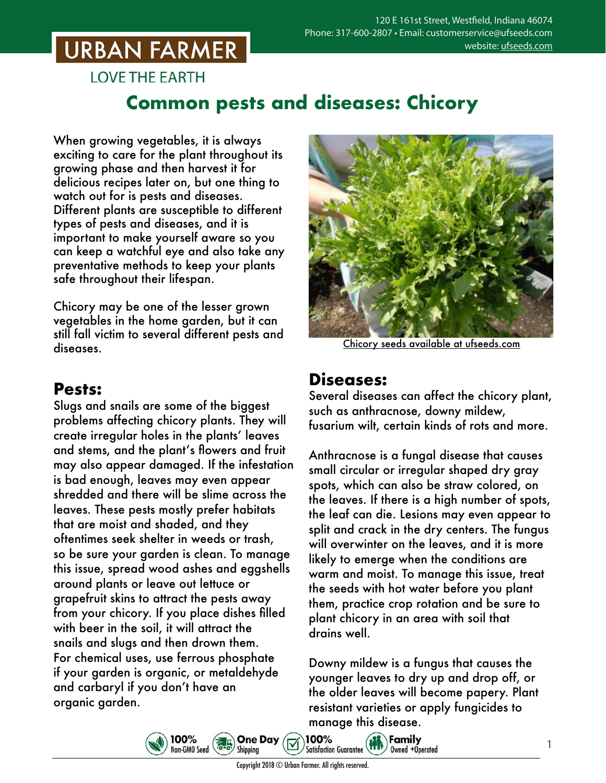## **URBAN FARMER**

**LOVE THE EARTH** 

### **Common pests and diseases: Chicory**

When growing vegetables, it is always exciting to care for the plant throughout its growing phase and then harvest it for delicious recipes later on, but one thing to watch out for is pests and diseases. Different plants are susceptible to different types of pests and diseases, and it is important to make yourself aware so you can keep a watchful eye and also take any preventative methods to keep your plants safe throughout their lifespan.

Chicory may be one of the lesser grown vegetables in the home garden, but it can still fall victim to several different pests and diseases.

### **Pests:**

Slugs and snails are some of the biggest problems affecting chicory plants. They will create irregular holes in the plants' leaves and stems, and the plant's flowers and fruit may also appear damaged. If the infestation is bad enough, leaves may even appear shredded and there will be slime across the leaves. These pests mostly prefer habitats that are moist and shaded, and they oftentimes seek shelter in weeds or trash, so be sure your garden is clean. To manage this issue, spread wood ashes and eggshells around plants or leave out lettuce or grapefruit skins to attract the pests away from your chicory. If you place dishes filled with beer in the soil, it will attract the snails and slugs and then drown them. For chemical uses, use ferrous phosphate if your garden is organic, or metaldehyde and carbaryl if you don't have an organic garden.



Chicory seeds [available at ufseeds.com](https://www.ufseeds.com/product-category/vegetables/chicory/)

#### **Diseases:**

Several diseases can affect the chicory plant, such as anthracnose, downy mildew, fusarium wilt, certain kinds of rots and more.

Anthracnose is a fungal disease that causes small circular or irregular shaped dry gray spots, which can also be straw colored, on the leaves. If there is a high number of spots, the leaf can die. Lesions may even appear to split and crack in the dry centers. The fungus will overwinter on the leaves, and it is more likely to emerge when the conditions are warm and moist. To manage this issue, treat the seeds with hot water before you plant them, practice crop rotation and be sure to plant chicory in an area with soil that drains well.

Downy mildew is a fungus that causes the younger leaves to dry up and drop off, or the older leaves will become papery. Plant resistant varieties or apply fungicides to manage this disease.



100%

**One Day**